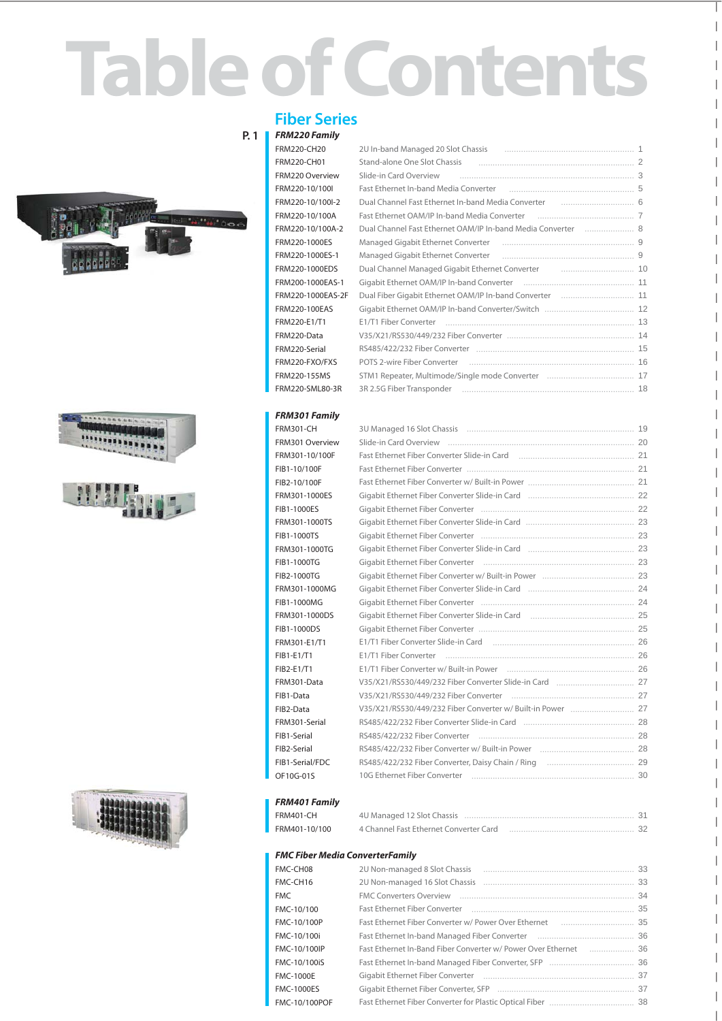# **Table of Contents**









## **Fiber Series**

#### **P. 1** *FRM220 Family*

FRM220-CH20 FRM220-CH01 FRM220 Overview FRM220-10/100I FRM220-10/100I-2 FRM220-10/100A FRM220-10/100A-2 FRM220-1000ES FRM220-1000ES-1 FRM220-1000EDS FRM200-1000EAS-1 FRM220-1000EAS-2F FRM220-100EAS FRM220-E1/T1 FRM220-Data FRM220-Serial FRM220-FXO/FXS FRM220-155MS FRM220-SML80-3R

| 2U In-band Managed 20 Slot Chassis (and the manumenon control of the 10 Managed 20 Slot Chassis (and the manum     |  |
|--------------------------------------------------------------------------------------------------------------------|--|
| Stand-alone One Slot Chassis (and the continuum continuum control of 2)                                            |  |
| Slide-in Card Overview [1994] [1994] [1994] [1994] [1994] [1994] [1994] [1994] [1994] [1994] [1994] [1994] [19     |  |
|                                                                                                                    |  |
|                                                                                                                    |  |
| Fast Ethernet OAM/IP In-band Media Converter [11] [11] [12] Fast Ethernet OAM/IP In-band Media Converter           |  |
| Dual Channel Fast Ethernet OAM/IP In-band Media Converter [11, 11, 1206] 8                                         |  |
|                                                                                                                    |  |
| Managed Gigabit Ethernet Converter [11] Managed Gigabit Ethernet Converter [11] Managed Gigabit Ethernet Converter |  |
| Dual Channel Managed Gigabit Ethernet Converter [10] [10] Dual Channel Managed Gigabit Ethernet Converter          |  |
|                                                                                                                    |  |
| Dual Fiber Gigabit Ethernet OAM/IP In-band Converter  11                                                           |  |
|                                                                                                                    |  |
|                                                                                                                    |  |
|                                                                                                                    |  |
|                                                                                                                    |  |
|                                                                                                                    |  |
|                                                                                                                    |  |
|                                                                                                                    |  |

 $\overline{\phantom{a}}$ 

 $\overline{\phantom{a}}$  $\overline{\phantom{a}}$ 

 $\overline{\phantom{a}}$  $\overline{\phantom{a}}$  $\overline{\phantom{a}}$  $\overline{\phantom{a}}$ 

 $\overline{\phantom{a}}$ 

 $\overline{\phantom{a}}$  $\overline{\phantom{a}}$ 

#### *FRM301 Family*

FRM301-CH FRM301 Overview FRM301-10/100F FIB1-10/100F FIB2-10/100F FRM301-1000ES FIB1-1000ES FRM301-1000TS FIB1-1000TS FRM301-1000TG FIB1-1000TG FIB2-1000TG FRM301-1000MG FIB1-1000MG FRM301-1000DS FIB1-1000DS FRM301-E1/T1 FIB1-E1/T1 FIB2-E1/T1 FRM301-Data FIB1-Data FIB2-Data FRM301-Serial FIB1-Serial FIB2-Serial FIB1-Serial/FDC OF10G-01S

|                                                                              | 19 |
|------------------------------------------------------------------------------|----|
|                                                                              |    |
|                                                                              |    |
|                                                                              |    |
|                                                                              |    |
|                                                                              |    |
|                                                                              |    |
|                                                                              |    |
|                                                                              |    |
|                                                                              |    |
|                                                                              |    |
|                                                                              |    |
|                                                                              |    |
|                                                                              |    |
| Gigabit Ethernet Fiber Converter Slide-in Card [100] Manumerren and 25       |    |
|                                                                              |    |
|                                                                              |    |
|                                                                              |    |
|                                                                              |    |
| V35/X21/RS530/449/232 Fiber Converter Slide-in Card [11, 11, 11, 11, 11, 27] |    |
|                                                                              |    |
|                                                                              |    |
|                                                                              |    |
|                                                                              |    |
|                                                                              |    |
|                                                                              |    |
|                                                                              |    |
|                                                                              |    |

#### *FRM401 Family*

| FRM401-CH     | 4U Managed 12 Slot Chassis.            |  |
|---------------|----------------------------------------|--|
| FRM401-10/100 | 4 Channel Fast Ethernet Converter Card |  |

#### *FMC Fiber Media ConverterFamily*

| FMC-CH08             |                                                                                                                | 33 |
|----------------------|----------------------------------------------------------------------------------------------------------------|----|
| FMC-CH16             |                                                                                                                | 33 |
| <b>FMC</b>           |                                                                                                                | 34 |
| FMC-10/100           |                                                                                                                | 35 |
| FMC-10/100P          |                                                                                                                | 35 |
| FMC-10/100i          |                                                                                                                |    |
| FMC-10/100IP         |                                                                                                                |    |
| FMC-10/100iS         |                                                                                                                |    |
| <b>FMC-1000E</b>     |                                                                                                                |    |
| <b>FMC-1000ES</b>    | Gigabit Ethernet Fiber Converter, SFP [11] [11] Cross Convertiser Convertiser Convertiser Convertiser Converti | 37 |
| <b>FMC-10/100POF</b> |                                                                                                                |    |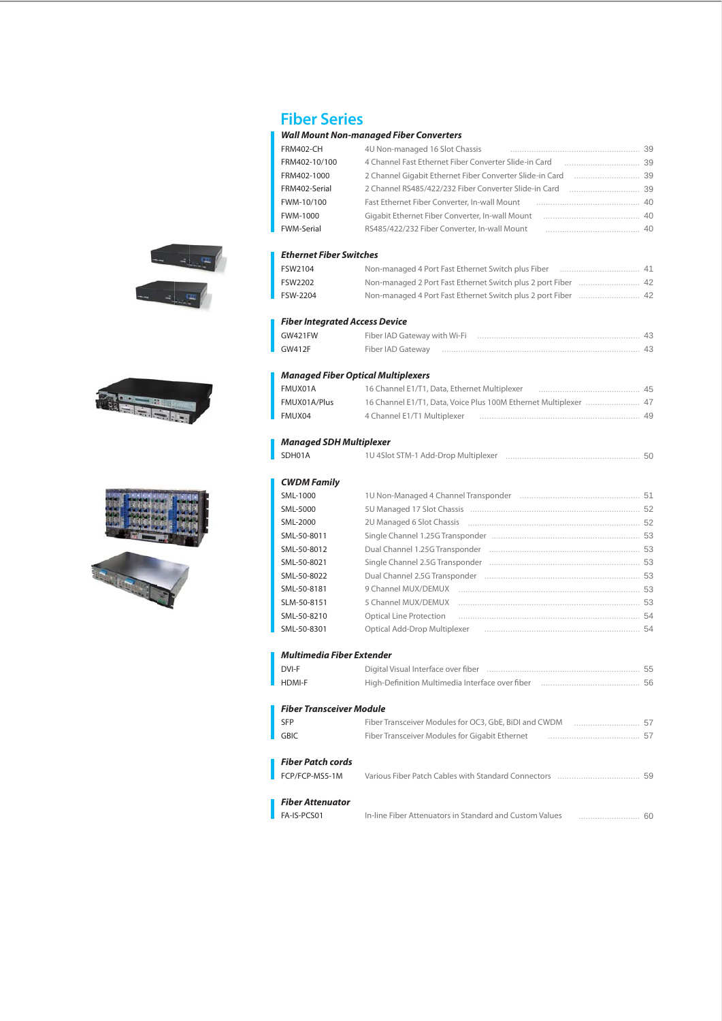







# **Fiber Series**

## *Wall Mount Non-managed Fiber Converters*

| FRM402-CH                      | 4U Non-managed 16 Slot Chassis                                                                                 |    |
|--------------------------------|----------------------------------------------------------------------------------------------------------------|----|
| FRM402-10/100                  | 4 Channel Fast Ethernet Fiber Converter Slide-in Card [11, 11, 11, 11, 11, 11, 139                             |    |
| FRM402-1000                    |                                                                                                                |    |
| FRM402-Serial                  | 2 Channel RS485/422/232 Fiber Converter Slide-in Card [11, 11, 1399] 2 Channel RS485/422/232 Fiber Converter S |    |
| FWM-10/100                     |                                                                                                                |    |
| <b>FWM-1000</b>                |                                                                                                                |    |
| <b>FWM-Serial</b>              | RS485/422/232 Fiber Converter, In-wall Mount<br>$\sim$ 40                                                      |    |
|                                |                                                                                                                |    |
| Ethernet Fiber Switches        |                                                                                                                |    |
| FSW2104                        |                                                                                                                |    |
| FSW2202                        | Non-managed 2 Port Fast Ethernet Switch plus 2 port Fiber  42                                                  |    |
| FSW-2204                       | Non-managed 4 Port Fast Ethernet Switch plus 2 port Fiber  42                                                  |    |
| Fiber Integrated Access Device |                                                                                                                |    |
| <b>GW421FW</b>                 |                                                                                                                |    |
| <b>GW412F</b>                  | Fiber IAD Gateway museum museum museum museum museum 43                                                        |    |
|                                | <b>Managed Fiber Optical Multiplexers</b>                                                                      |    |
| FMUX01A                        | 16 Channel E1/T1, Data, Ethernet Multiplexer [1, 1, 1, 1, 1, 1, 1, 1, 1, 1, 1, 15]                             |    |
| FMUX01A/Plus                   | 16 Channel E1/T1, Data, Voice Plus 100M Ethernet Multiplexer  47                                               |    |
| FMUX04                         |                                                                                                                |    |
|                                |                                                                                                                |    |
| <b>Managed SDH Multiplexer</b> |                                                                                                                |    |
| SDH01A                         |                                                                                                                |    |
| <b>CWDM Family</b>             |                                                                                                                |    |
| SML-1000                       |                                                                                                                |    |
| SML-5000                       |                                                                                                                |    |
| SML-2000                       |                                                                                                                |    |
| SML-50-8011                    |                                                                                                                |    |
| SML-50-8012                    |                                                                                                                |    |
| SML-50-8021                    |                                                                                                                |    |
| SML-50-8022                    |                                                                                                                |    |
| SML-50-8181                    |                                                                                                                |    |
| SLM-50-8151                    | 5 Channel MUX/DEMUX                                                                                            |    |
| SML-50-8210                    | <b>Optical Line Protection</b>                                                                                 |    |
| SML-50-8301                    | Optical Add-Drop Multiplexer (1999) 2006 1994 1994                                                             |    |
| Multimedia Fiber Extender      |                                                                                                                |    |
| DVI-F                          |                                                                                                                |    |
| <b>HDMI-F</b>                  |                                                                                                                | 56 |
| Fiber Transceiver Module       |                                                                                                                |    |
| <b>SFP</b>                     |                                                                                                                |    |
| <b>GBIC</b>                    | Fiber Transceiver Modules for Gigabit Ethernet                                                                 |    |
|                                |                                                                                                                |    |
| Fiber Patch cords              |                                                                                                                |    |
| FCP/FCP-MS5-1M                 |                                                                                                                |    |
| Fiber Attenuator               |                                                                                                                |    |
| FA-IS-PCS01                    |                                                                                                                |    |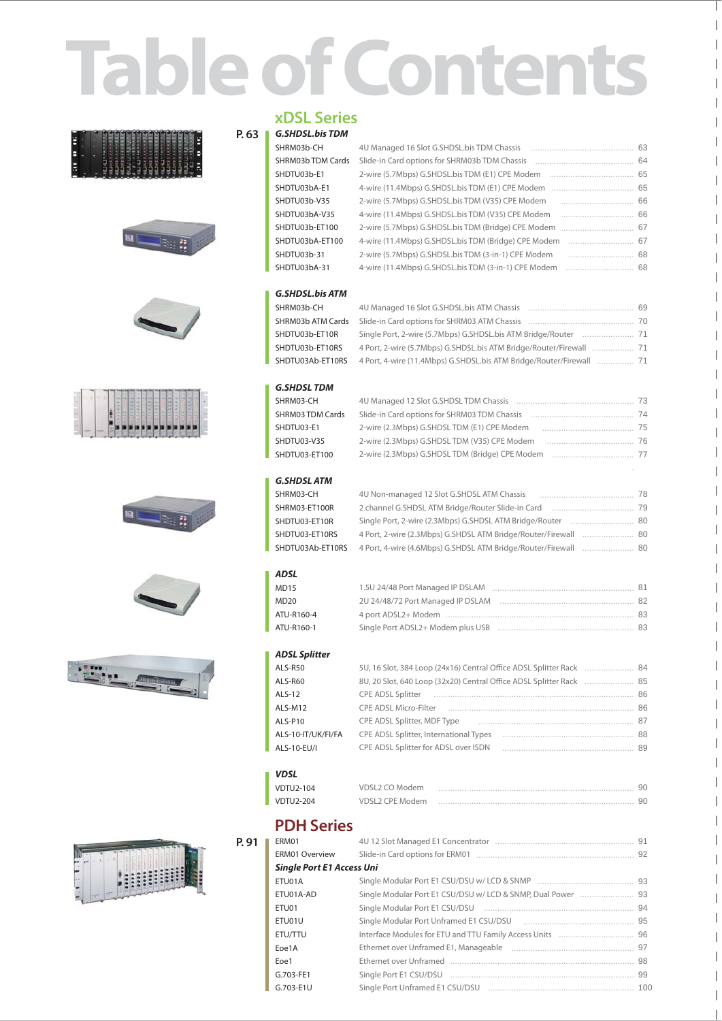# **Table of Contents**

















## **xDSL Series**

#### **P. 63** *G.SHDSL.bis TDM*

| וועושו נוט.בטחנ.ט |                                                      |    |
|-------------------|------------------------------------------------------|----|
| SHRM03b-CH        |                                                      | 63 |
| SHRM03b TDM Cards |                                                      |    |
| SHDTU03b-E1       |                                                      |    |
| SHDTU03bA-E1      |                                                      |    |
| SHDTU03b-V35      |                                                      |    |
| SHDTU03bA-V35     |                                                      |    |
| SHDTU03b-ET100    |                                                      |    |
| SHDTU03bA-ET100   | 4-wire (11.4Mbps) G.SHDSL.bis TDM (Bridge) CPE Modem |    |
| SHDTU03b-31       | 2-wire (5.7Mbps) G.SHDSL.bis TDM (3-in-1) CPE Modem  | 68 |
| SHDTU03bA-31      | 4-wire (11.4Mbps) G.SHDSL.bis TDM (3-in-1) CPE Modem | 68 |
|                   |                                                      |    |

### *G.SHDSL.bis ATM*

SHRM03b-CH SHRM03b ATM Cards SHDTU03b-ET10R SHDTU03b-ET10RS SHDTU03Ab-ET10RS

|                                                                      | 69 |
|----------------------------------------------------------------------|----|
|                                                                      |    |
|                                                                      |    |
|                                                                      |    |
| 4 Port, 4-wire (11.4Mbps) G.SHDSL.bis ATM Bridge/Router/Firewall  71 |    |

.

 $\overline{\phantom{a}}$  $\overline{\phantom{a}}$  $\overline{\phantom{a}}$ 

 $\overline{\phantom{a}}$ 

 $\overline{\phantom{a}}$  $\overline{\phantom{a}}$  $\overline{\phantom{a}}$  $\overline{\phantom{a}}$  $\overline{\phantom{a}}$  $\overline{\phantom{a}}$  $\overline{\phantom{a}}$  $\overline{\phantom{a}}$  $\overline{\phantom{a}}$  $\overline{\phantom{a}}$  $\overline{\phantom{a}}$  $\overline{\phantom{a}}$  $\overline{\phantom{a}}$  $\overline{\phantom{a}}$  $\overline{\phantom{a}}$  $\overline{\phantom{a}}$  $\overline{\phantom{a}}$  $\overline{\phantom{a}}$  $\overline{\phantom{a}}$  $\overline{\phantom{a}}$ 

 $\overline{\phantom{a}}$  $\overline{\phantom{a}}$  $\overline{\phantom{a}}$  $\overline{\phantom{a}}$  $\overline{\phantom{a}}$  $\overline{\phantom{a}}$  $\overline{\phantom{a}}$  $\overline{\phantom{a}}$  $\overline{\phantom{a}}$ 

 $\overline{\phantom{a}}$ 

 $\overline{\phantom{a}}$ 

 $\overline{\phantom{a}}$ 

#### *G.SHDSL TDM*

| SHRM03-CH               |                                                | 73  |
|-------------------------|------------------------------------------------|-----|
| <b>SHRM03 TDM Cards</b> | Slide-in Card options for SHRM03 TDM Chassis   | 74  |
| SHDTU03-E1              | 2-wire (2.3Mbps) G.SHDSLTDM (E1) CPE Modem     | -75 |
| SHDTU03-V35             | 2-wire (2.3Mbps) G.SHDSLTDM (V35) CPE Modem    | 76  |
| SHDTU03-ET100           | 2-wire (2.3Mbps) G.SHDSLTDM (Bridge) CPE Modem | 77  |

#### *G.SHDSL ATM*

| 4U Non-managed 12 Slot G.SHDSL ATM Chassis                  | 78 |
|-------------------------------------------------------------|----|
| 2 channel G.SHDSL ATM Bridge/Router Slide-in Card           | 79 |
| Single Port, 2-wire (2.3Mbps) G.SHDSL ATM Bridge/Router     | 80 |
| 4 Port, 2-wire (2.3Mbps) G.SHDSL ATM Bridge/Router/Firewall | 80 |
| 4 Port, 4-wire (4.6Mbps) G.SHDSL ATM Bridge/Router/Firewall | 80 |
|                                                             |    |

#### *ADSL*

| <b>MD15</b> |                                   | 81 |
|-------------|-----------------------------------|----|
| <b>MD20</b> | 2U 24/48/72 Port Managed IP DSLAM | 82 |
| ATU-R160-4  |                                   | 83 |
| ATU-R160-1  | Single Port ADSL2+ Modem plus USB | 83 |

### *ADSL Splitter*

| ALS-R50            | 5U, 16 Slot, 384 Loop (24x16) Central Office ADSL Splitter Rack | -84 |
|--------------------|-----------------------------------------------------------------|-----|
| ALS-R60            | 8U, 20 Slot, 640 Loop (32x20) Central Office ADSL Splitter Rack | -85 |
| ALS-12             | CPE ADSL Splitter                                               | 86  |
| ALS-M12            | <b>CPE ADSL Micro-Filter</b>                                    | 86  |
| ALS-P10            | CPE ADSL Splitter, MDF Type                                     | 87  |
| ALS-10-IT/UK/FI/FA | CPE ADSL Splitter, International Types                          | 88  |
| ALS-10-EU/I        | CPE ADSL Splitter for ADSL over ISDN                            | 89  |
|                    |                                                                 |     |

#### *VDSL*

| VDTU2-104        | VDSL2 CO Modem  |    |
|------------------|-----------------|----|
| <b>VDTU2-204</b> | VDSL2 CPE Modem | 90 |

## **PDH Series**

| ERM01<br><b>ERM01 Overview</b><br><b>Single Port E1 Access Uni</b><br>ETU01A<br>ETU01A-AD<br>ETU01<br>ETU01U<br>ETU/TTU<br>Eoe1A<br>Eoe1<br>G.703-FE1<br>G.703-E1U |       |  |  |
|--------------------------------------------------------------------------------------------------------------------------------------------------------------------|-------|--|--|
|                                                                                                                                                                    | P. 91 |  |  |
|                                                                                                                                                                    |       |  |  |
|                                                                                                                                                                    |       |  |  |
|                                                                                                                                                                    |       |  |  |
|                                                                                                                                                                    |       |  |  |
|                                                                                                                                                                    |       |  |  |
|                                                                                                                                                                    |       |  |  |
|                                                                                                                                                                    |       |  |  |
|                                                                                                                                                                    |       |  |  |
|                                                                                                                                                                    |       |  |  |
|                                                                                                                                                                    |       |  |  |
|                                                                                                                                                                    |       |  |  |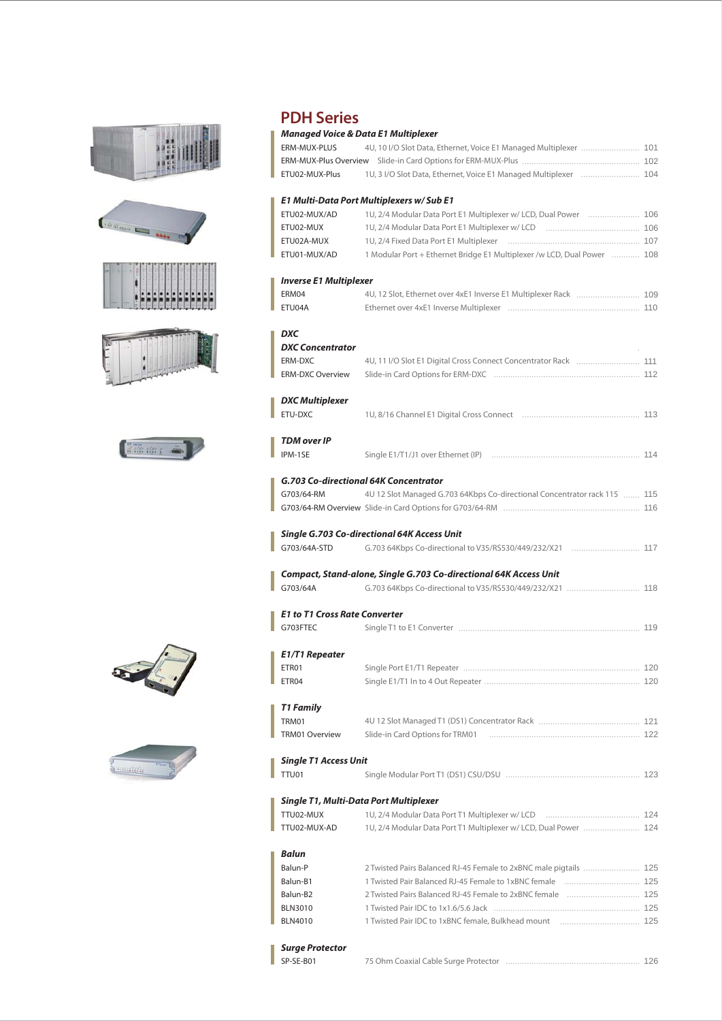













## **PDH Series**

#### 4U, 10 I/O Slot Data, Ethernet, Voice E1 Managed Multiplexer ......................... 101 .................................................. 102 1U, 3 I/O Slot Data, Ethernet, Voice E1 Managed Multiplexer ............................ 104 1U, 2/4 Modular Data Port E1 Multiplexer w/ LCD, Dual Power ...................... 106 ........................................ 106 1U, 2/4 Modular Data Port E1 Multiplexer w/ LCD ........................................................ 107 1 Modular Port + Ethernet Bridge E1 Multiplexer /w LCD, Dual Power ............ 108 ........................... 109 4U, 12 Slot, Ethernet over 4xE1 Inverse E1 Multiplexer Rack ........................................................ 110 Ethernet over 4xE1 Inverse Multiplexer 4U, 11 I/O Slot E1 Digital Cross Connect Concentrator Rack ................................ 111 .............................................................. 112 Slide-in Card Options for ERM-DXC .................................................. 113 1U, 8/16 Channel E1 Digital Cross Connect ............................................................... 114 Single E1/T1/J1 over Ethernet (IP) ....... 115 4U 12 Slot Managed G.703 64Kbps Co-directional Concentrator rack 115 .......................................................... 116 G703/64-RM Overview Slide-in Card Options for G703/64-RM G.703 64Kbps Co-directional to V35/RS530/449/232/X21 .................................. 117 G.703 64Kbps Co-directional to V35/RS530/449/232/X21 ................................... 118 ............................................................................. Single T1 to E1 Converter ........................................................................... 120 Single Port E1/T1 Repeater .................................................................. 120 Single E1/T1 In to 4 Out Repeater ........................................... 121 4U 12 Slot Managed T1 (DS1) Concentrator Rack ................................................................ 122 ......................................................... 123 Single Modular Port T1 (DS1) CSU/DSU ........................................ 124 1U, 2/4 Modular Data Port T1 Multiplexer w/ LCD 1U, 2/4 Modular Data Port T1 Multiplexer w/ LCD, Dual Power ........................ 124 2 Twisted Pairs Balanced RJ-45 Female to 2xBNC male pigtails ......................... 125 ................................ 125 ............................... 125 119 *Managed Voice & Data E1 Multiplexer*  ERM-MUX-PLUS ERM-MUX-Plus Overview Slide-in Card Options for ERM-MUX-Plus ETU02-MUX-Plus *E1 Multi-Data Port Multiplexers w/ Sub E1* ETU02-MUX/AD ETU02-MUX ETU02A-MUX ETU01-MUX/AD *Inverse E1 Multiplexer* ERM04 ETU04A *DXC DXC Concentrator* ERM-DXC ERM-DXC Overview *DXC Multiplexer* ETU-DXC *TDM over IP* IPM-1SE *G.703 Co-directional 64K Concentrator* G703/64-RM *Single G.703 Co-directional 64K Access Unit* G703/64A-STD *Compact, Stand-alone, Single G.703 Co-directional 64K Access Unit* G703/64A *E1 to T1 Cross Rate Converter* G703FTEC *E1/T1 Repeater* ETR<sub>01</sub> ETR04 *T1 Family* TRM01 TRM01 Overview *Single T1 Access Unit* TTU01 *Single T1, Multi-Data Port Multiplexer* TTU02-MUX TTU02-MUX-AD *Balun* Balun-P Balun-B1 Balun-B2 1U, 2/4 Fixed Data Port E1 Multiplexer Slide-in Card Options for TRM01 1 Twisted Pair Balanced RJ-45 Female to 1xBNC female 2 Twisted Pairs Balanced RJ-45 Female to 2xBNC female

## *Surge Protector*

SP-SE-B01

**BLN3010** BLN4010

.............................................................. 125 1 Twisted Pair IDC to 1x1.6/5.6 Jack .................................. 125 1 Twisted Pair IDC to 1xBNC female, Bulkhead mount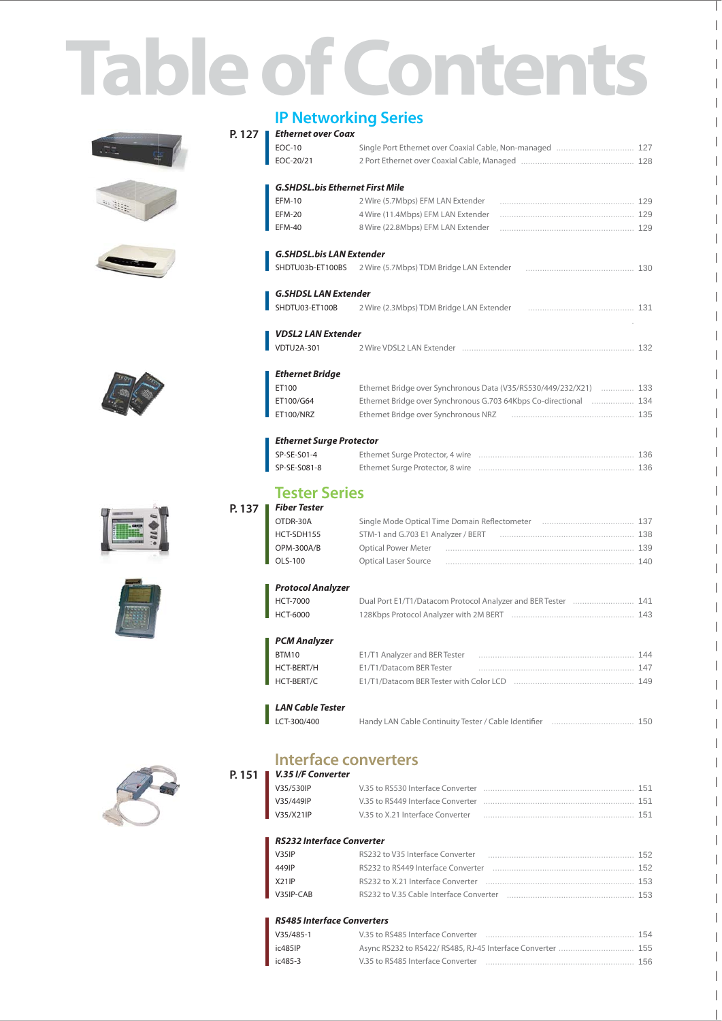# **Table of Contents**











# **IP Networking Series**

| P. 127 | <b>Ethernet over Coax</b>              |                                                                   |  |
|--------|----------------------------------------|-------------------------------------------------------------------|--|
|        | <b>EOC-10</b>                          |                                                                   |  |
|        | EOC-20/21                              |                                                                   |  |
|        | <b>G.SHDSL.bis Ethernet First Mile</b> |                                                                   |  |
|        | <b>EFM-10</b>                          | 2 Wire (5.7Mbps) EFM LAN Extender                                 |  |
|        | <b>EFM-20</b>                          | 4 Wire (11.4Mbps) EFM LAN Extender                                |  |
|        | <b>EFM-40</b>                          | 8 Wire (22.8Mbps) EFM LAN Extender                                |  |
|        | <b>G.SHDSL.bis LAN Extender</b>        |                                                                   |  |
|        | SHDTU03b-ET100BS                       | 2 Wire (5.7Mbps) TDM Bridge LAN Extender                          |  |
|        | <b>G.SHDSL LAN Extender</b>            |                                                                   |  |
|        | SHDTU03-ET100B                         | 2 Wire (2.3Mbps) TDM Bridge LAN Extender                          |  |
|        | <b>VDSL2 LAN Extender</b>              |                                                                   |  |
|        | <b>VDTU2A-301</b>                      |                                                                   |  |
|        | <b>Ethernet Bridge</b>                 |                                                                   |  |
|        | ET100                                  | Ethernet Bridge over Synchronous Data (V35/RS530/449/232/X21)     |  |
|        | ET100/G64                              | Ethernet Bridge over Synchronous G.703 64Kbps Co-directional  134 |  |
|        | ET100/NRZ                              | Ethernet Bridge over Synchronous NRZ                              |  |
|        | <b>Ethernet Surge Protector</b>        |                                                                   |  |
|        | SP-SE-S01-4                            | Ethernet Surge Protector, 4 wire                                  |  |
|        | SP-SE-S081-8                           |                                                                   |  |
|        | <b>Tester Series</b>                   |                                                                   |  |
| P. 137 | <b>Fiber Tester</b>                    |                                                                   |  |
|        | OTDR-30A                               | Single Mode Optical Time Domain Reflectometer                     |  |
|        | HCT-SDH155                             | STM-1 and G.703 E1 Analyzer / BERT                                |  |
|        | OPM-300A/B                             | <b>Optical Power Meter</b>                                        |  |
|        | OLS-100                                | Optical Laser Source                                              |  |
|        | <b>Protocol Analyzer</b>               |                                                                   |  |
|        | <b>HCT-7000</b>                        | Dual Port E1/T1/Datacom Protocol Analyzer and BER Tester  141     |  |
|        | <b>HCT-6000</b>                        |                                                                   |  |
|        | <b>PCM Analyzer</b>                    |                                                                   |  |
|        | BTM10                                  | E1/T1 Analyzer and BER Tester                                     |  |
|        | <b>HCT-BERT/H</b>                      | E1/T1/Datacom BER Tester                                          |  |
|        | HCT-BERT/C                             |                                                                   |  |
|        | <b>LAN Cable Tester</b>                |                                                                   |  |
|        | LCT-300/400                            | Handy LAN Cable Continuity Tester / Cable Identifier              |  |
|        |                                        |                                                                   |  |



## **Interface converters P. 151** *V.35 I/F Converter*

| V35/530IP |                                  | 151 |
|-----------|----------------------------------|-----|
| V35/449IP |                                  | 151 |
| V35/X21IP | V.35 to X.21 Interface Converter | 151 |

#### *RS232 Interface Converter*

| V35IP              | RS232 to V35 Interface Converter                                                                                                                                                                                               | 152 |
|--------------------|--------------------------------------------------------------------------------------------------------------------------------------------------------------------------------------------------------------------------------|-----|
| 449IP              | RS232 to RS449 Interface Converter (and the context of the RS232 to RS449 Interface Converter (and the context of the RS449 Interface Converter (and the RS449 Interface Converter (and the RS449 Interface Converter (and the | 152 |
| X <sub>21</sub> IP |                                                                                                                                                                                                                                | 153 |
| V35IP-CAR          | RS232 to V.35 Cable Interface Converter                                                                                                                                                                                        | 153 |

### *RS485 Interface Converters*

| $V35/485-1$ | V.35 to RS485 Interface Converter | 154 |
|-------------|-----------------------------------|-----|
| ic485IP     |                                   | 155 |
| ic485-3     | V.35 to RS485 Interface Converter | 156 |

 $\overline{\phantom{a}}$